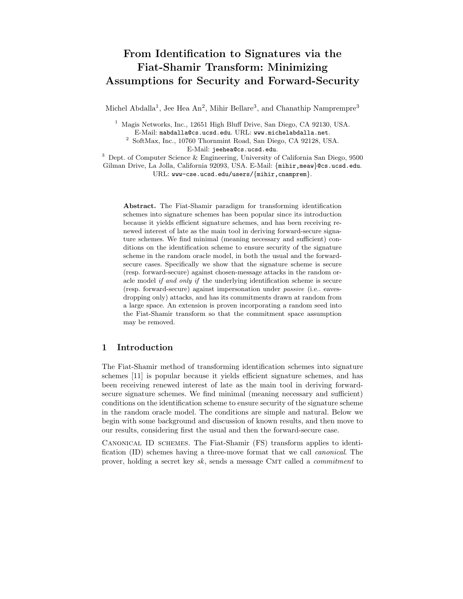# From Identification to Signatures via the Fiat-Shamir Transform: Minimizing Assumptions for Security and Forward-Security

Michel Abdalla<sup>1</sup>, Jee Hea An<sup>2</sup>, Mihir Bellare<sup>3</sup>, and Chanathip Namprempre<sup>3</sup>

<sup>1</sup> Magis Networks, Inc., 12651 High Bluff Drive, San Diego, CA 92130, USA.

E-Mail: mabdalla@cs.ucsd.edu. URL: www.michelabdalla.net.

<sup>2</sup> SoftMax, Inc., 10760 Thornmint Road, San Diego, CA 92128, USA.

E-Mail: jeehea@cs.ucsd.edu.

<sup>3</sup> Dept. of Computer Science & Engineering, University of California San Diego, 9500

Gilman Drive, La Jolla, California 92093, USA. E-Mail: {mihir,meaw}@cs.ucsd.edu. URL: www-cse.ucsd.edu/users/{mihir,cnamprem}.

Abstract. The Fiat-Shamir paradigm for transforming identification schemes into signature schemes has been popular since its introduction because it yields efficient signature schemes, and has been receiving renewed interest of late as the main tool in deriving forward-secure signature schemes. We find minimal (meaning necessary and sufficient) conditions on the identification scheme to ensure security of the signature scheme in the random oracle model, in both the usual and the forwardsecure cases. Specifically we show that the signature scheme is secure (resp. forward-secure) against chosen-message attacks in the random oracle model if and only if the underlying identification scheme is secure (resp. forward-secure) against impersonation under passive (i.e.. eavesdropping only) attacks, and has its commitments drawn at random from a large space. An extension is proven incorporating a random seed into the Fiat-Shamir transform so that the commitment space assumption may be removed.

# 1 Introduction

The Fiat-Shamir method of transforming identification schemes into signature schemes [11] is popular because it yields efficient signature schemes, and has been receiving renewed interest of late as the main tool in deriving forwardsecure signature schemes. We find minimal (meaning necessary and sufficient) conditions on the identification scheme to ensure security of the signature scheme in the random oracle model. The conditions are simple and natural. Below we begin with some background and discussion of known results, and then move to our results, considering first the usual and then the forward-secure case.

Canonical ID schemes. The Fiat-Shamir (FS) transform applies to identification (ID) schemes having a three-move format that we call canonical. The prover, holding a secret key  $sk$ , sends a message CMT called a *commitment* to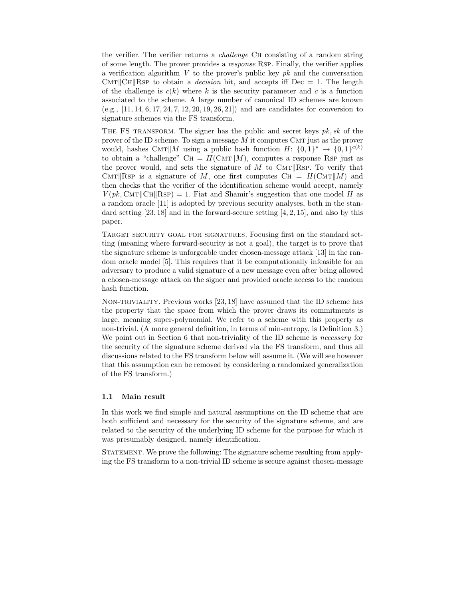the verifier. The verifier returns a *challenge* CH consisting of a random string of some length. The prover provides a response Rsp. Finally, the verifier applies a verification algorithm V to the prover's public key  $pk$  and the conversation CMT CH RSP to obtain a *decision* bit, and accepts iff Dec = 1. The length of the challenge is  $c(k)$  where k is the security parameter and c is a function associated to the scheme. A large number of canonical ID schemes are known  $(e.g., [11, 14, 6, 17, 24, 7, 12, 20, 19, 26, 21])$  and are candidates for conversion to signature schemes via the FS transform.

THE FS TRANSFORM. The signer has the public and secret keys  $pk, sk$  of the prover of the ID scheme. To sign a message  $M$  it computes CMT just as the prover would, hashes CMT ||M using a public hash function  $H: \{0,1\}^* \rightarrow \{0,1\}^{c(k)}$ to obtain a "challenge"  $\text{CH} = H(\text{CMT}||M)$ , computes a response Rsp just as the prover would, and sets the signature of M to CMT RSP. To verify that CMT RSP is a signature of M, one first computes  $\text{CH} = H(\text{CMT}||M)$  and then checks that the verifier of the identification scheme would accept, namely  $V(pk, \text{CMT}||\text{CH}||\text{RSP}) = 1.$  Fiat and Shamir's suggestion that one model H as a random oracle [11] is adopted by previous security analyses, both in the standard setting [23, 18] and in the forward-secure setting [4, 2, 15], and also by this paper.

TARGET SECURITY GOAL FOR SIGNATURES. Focusing first on the standard setting (meaning where forward-security is not a goal), the target is to prove that the signature scheme is unforgeable under chosen-message attack [13] in the random oracle model [5]. This requires that it be computationally infeasible for an adversary to produce a valid signature of a new message even after being allowed a chosen-message attack on the signer and provided oracle access to the random hash function.

Non-triviality. Previous works [23, 18] have assumed that the ID scheme has the property that the space from which the prover draws its commitments is large, meaning super-polynomial. We refer to a scheme with this property as non-trivial. (A more general definition, in terms of min-entropy, is Definition 3.) We point out in Section 6 that non-triviality of the ID scheme is *necessary* for the security of the signature scheme derived via the FS transform, and thus all discussions related to the FS transform below will assume it. (We will see however that this assumption can be removed by considering a randomized generalization of the FS transform.)

#### 1.1 Main result

In this work we find simple and natural assumptions on the ID scheme that are both sufficient and necessary for the security of the signature scheme, and are related to the security of the underlying ID scheme for the purpose for which it was presumably designed, namely identification.

STATEMENT. We prove the following: The signature scheme resulting from applying the FS transform to a non-trivial ID scheme is secure against chosen-message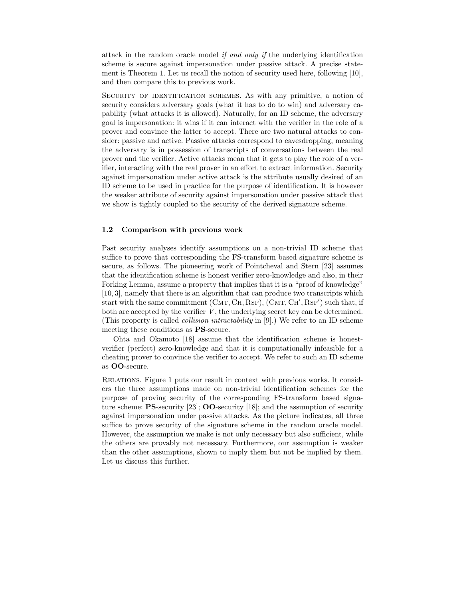attack in the random oracle model if and only if the underlying identification scheme is secure against impersonation under passive attack. A precise statement is Theorem 1. Let us recall the notion of security used here, following [10], and then compare this to previous work.

SECURITY OF IDENTIFICATION SCHEMES. As with any primitive, a notion of security considers adversary goals (what it has to do to win) and adversary capability (what attacks it is allowed). Naturally, for an ID scheme, the adversary goal is impersonation: it wins if it can interact with the verifier in the role of a prover and convince the latter to accept. There are two natural attacks to consider: passive and active. Passive attacks correspond to eavesdropping, meaning the adversary is in possession of transcripts of conversations between the real prover and the verifier. Active attacks mean that it gets to play the role of a verifier, interacting with the real prover in an effort to extract information. Security against impersonation under active attack is the attribute usually desired of an ID scheme to be used in practice for the purpose of identification. It is however the weaker attribute of security against impersonation under passive attack that we show is tightly coupled to the security of the derived signature scheme.

### 1.2 Comparison with previous work

Past security analyses identify assumptions on a non-trivial ID scheme that suffice to prove that corresponding the FS-transform based signature scheme is secure, as follows. The pioneering work of Pointcheval and Stern [23] assumes that the identification scheme is honest verifier zero-knowledge and also, in their Forking Lemma, assume a property that implies that it is a "proof of knowledge" [10, 3], namely that there is an algorithm that can produce two transcripts which start with the same commitment  $(CMT, CH, RSP)$ ,  $(CMT, CH', RSP')$  such that, if both are accepted by the verifier  $V$ , the underlying secret key can be determined. (This property is called collision intractability in [9].) We refer to an ID scheme meeting these conditions as PS-secure.

Ohta and Okamoto [18] assume that the identification scheme is honestverifier (perfect) zero-knowledge and that it is computationally infeasible for a cheating prover to convince the verifier to accept. We refer to such an ID scheme as OO-secure.

Relations. Figure 1 puts our result in context with previous works. It considers the three assumptions made on non-trivial identification schemes for the purpose of proving security of the corresponding FS-transform based signature scheme: PS-security [23]; OO-security [18]; and the assumption of security against impersonation under passive attacks. As the picture indicates, all three suffice to prove security of the signature scheme in the random oracle model. However, the assumption we make is not only necessary but also sufficient, while the others are provably not necessary. Furthermore, our assumption is weaker than the other assumptions, shown to imply them but not be implied by them. Let us discuss this further.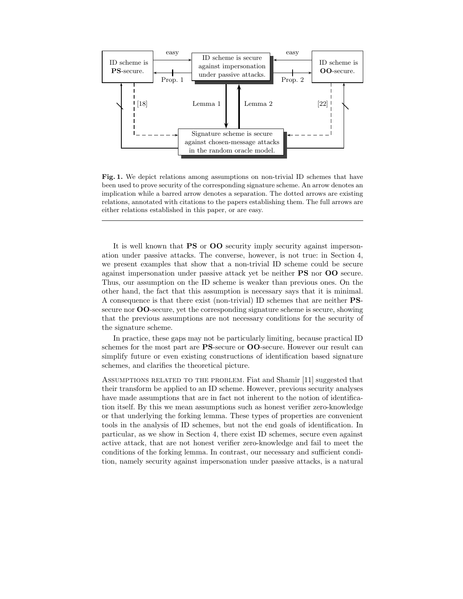

Fig. 1. We depict relations among assumptions on non-trivial ID schemes that have been used to prove security of the corresponding signature scheme. An arrow denotes an implication while a barred arrow denotes a separation. The dotted arrows are existing relations, annotated with citations to the papers establishing them. The full arrows are either relations established in this paper, or are easy.

It is well known that PS or OO security imply security against impersonation under passive attacks. The converse, however, is not true: in Section 4, we present examples that show that a non-trivial ID scheme could be secure against impersonation under passive attack yet be neither PS nor OO secure. Thus, our assumption on the ID scheme is weaker than previous ones. On the other hand, the fact that this assumption is necessary says that it is minimal. A consequence is that there exist (non-trivial) ID schemes that are neither PSsecure nor OO-secure, yet the corresponding signature scheme is secure, showing that the previous assumptions are not necessary conditions for the security of the signature scheme.

In practice, these gaps may not be particularly limiting, because practical ID schemes for the most part are PS-secure or OO-secure. However our result can simplify future or even existing constructions of identification based signature schemes, and clarifies the theoretical picture.

Assumptions related to the problem. Fiat and Shamir [11] suggested that their transform be applied to an ID scheme. However, previous security analyses have made assumptions that are in fact not inherent to the notion of identification itself. By this we mean assumptions such as honest verifier zero-knowledge or that underlying the forking lemma. These types of properties are convenient tools in the analysis of ID schemes, but not the end goals of identification. In particular, as we show in Section 4, there exist ID schemes, secure even against active attack, that are not honest verifier zero-knowledge and fail to meet the conditions of the forking lemma. In contrast, our necessary and sufficient condition, namely security against impersonation under passive attacks, is a natural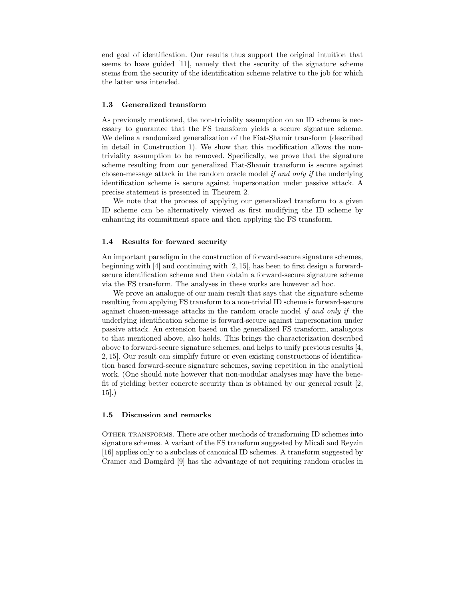end goal of identification. Our results thus support the original intuition that seems to have guided [11], namely that the security of the signature scheme stems from the security of the identification scheme relative to the job for which the latter was intended.

### 1.3 Generalized transform

As previously mentioned, the non-triviality assumption on an ID scheme is necessary to guarantee that the FS transform yields a secure signature scheme. We define a randomized generalization of the Fiat-Shamir transform (described in detail in Construction 1). We show that this modification allows the nontriviality assumption to be removed. Specifically, we prove that the signature scheme resulting from our generalized Fiat-Shamir transform is secure against chosen-message attack in the random oracle model if and only if the underlying identification scheme is secure against impersonation under passive attack. A precise statement is presented in Theorem 2.

We note that the process of applying our generalized transform to a given ID scheme can be alternatively viewed as first modifying the ID scheme by enhancing its commitment space and then applying the FS transform.

### 1.4 Results for forward security

An important paradigm in the construction of forward-secure signature schemes, beginning with [4] and continuing with [2, 15], has been to first design a forwardsecure identification scheme and then obtain a forward-secure signature scheme via the FS transform. The analyses in these works are however ad hoc.

We prove an analogue of our main result that says that the signature scheme resulting from applying FS transform to a non-trivial ID scheme is forward-secure against chosen-message attacks in the random oracle model if and only if the underlying identification scheme is forward-secure against impersonation under passive attack. An extension based on the generalized FS transform, analogous to that mentioned above, also holds. This brings the characterization described above to forward-secure signature schemes, and helps to unify previous results [4, 2, 15]. Our result can simplify future or even existing constructions of identification based forward-secure signature schemes, saving repetition in the analytical work. (One should note however that non-modular analyses may have the benefit of yielding better concrete security than is obtained by our general result [2, 15].)

### 1.5 Discussion and remarks

Other transforms. There are other methods of transforming ID schemes into signature schemes. A variant of the FS transform suggested by Micali and Reyzin [16] applies only to a subclass of canonical ID schemes. A transform suggested by Cramer and Damgård [9] has the advantage of not requiring random oracles in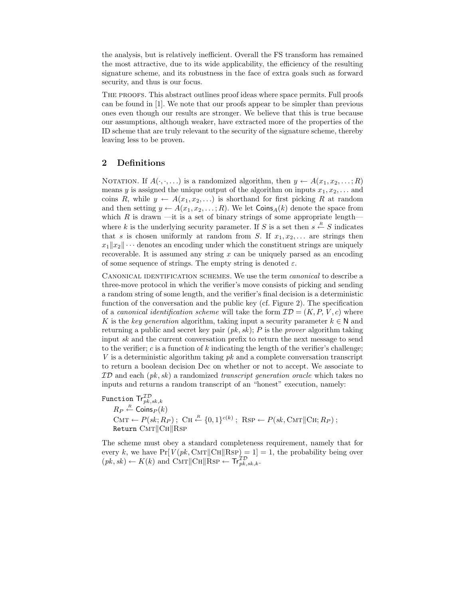the analysis, but is relatively inefficient. Overall the FS transform has remained the most attractive, due to its wide applicability, the efficiency of the resulting signature scheme, and its robustness in the face of extra goals such as forward security, and thus is our focus.

The proofs. This abstract outlines proof ideas where space permits. Full proofs can be found in [1]. We note that our proofs appear to be simpler than previous ones even though our results are stronger. We believe that this is true because our assumptions, although weaker, have extracted more of the properties of the ID scheme that are truly relevant to the security of the signature scheme, thereby leaving less to be proven.

# 2 Definitions

NOTATION. If  $A(\cdot, \cdot, \ldots)$  is a randomized algorithm, then  $y \leftarrow A(x_1, x_2, \ldots; R)$ means y is assigned the unique output of the algorithm on inputs  $x_1, x_2, \ldots$  and coins R, while  $y \leftarrow A(x_1, x_2, \ldots)$  is shorthand for first picking R at random and then setting  $y \leftarrow A(x_1, x_2, \ldots; R)$ . We let Coins $_A(k)$  denote the space from which R is drawn —it is a set of binary strings of some appropriate length where k is the underlying security parameter. If S is a set then  $s \stackrel{R}{\leftarrow} S$  indicates that s is chosen uniformly at random from S. If  $x_1, x_2, \ldots$  are strings then  $x_1||x_2|| \cdots$  denotes an encoding under which the constituent strings are uniquely recoverable. It is assumed any string  $x$  can be uniquely parsed as an encoding of some sequence of strings. The empty string is denoted  $\varepsilon$ .

CANONICAL IDENTIFICATION SCHEMES. We use the term *canonical* to describe a three-move protocol in which the verifier's move consists of picking and sending a random string of some length, and the verifier's final decision is a deterministic function of the conversation and the public key (cf. Figure 2). The specification of a *canonical identification scheme* will take the form  $\mathcal{ID} = (K, P, V, c)$  where K is the key generation algorithm, taking input a security parameter  $k \in \mathbb{N}$  and returning a public and secret key pair  $(pk, sk)$ ; P is the prover algorithm taking input sk and the current conversation prefix to return the next message to send to the verifier;  $c$  is a function of  $k$  indicating the length of the verifier's challenge; V is a deterministic algorithm taking  $pk$  and a complete conversation transcript to return a boolean decision Dec on whether or not to accept. We associate to  $ID$  and each  $(pk, sk)$  a randomized transcript generation oracle which takes no inputs and returns a random transcript of an "honest" execution, namely:

Function  $\mathsf{Tr}^{\mathcal{ID}}_{pk,sk,k}$ 

 $R_P \stackrel{R}{\leftarrow} \mathsf{Coins}_P(k)$  $\text{CMT} \leftarrow P(sk; R_P)$ ;  $\text{CH} \stackrel{R}{\leftarrow} \{0, 1\}^{c(k)}$ ;  $\text{RSP} \leftarrow P(sk, \text{CMT} || \text{CH}; R_P)$ ;  $Return$   $CMT||CH||RSP$ 

The scheme must obey a standard completeness requirement, namely that for every k, we have  $Pr[V(pk, \text{CMT} || \text{CH} || \text{RSP}) = 1] = 1$ , the probability being over  $(pk, sk) \leftarrow K(k)$  and CMT CH RSP  $\leftarrow \text{Tr}_{pk, sk, k}^{\mathcal{ID}}$ .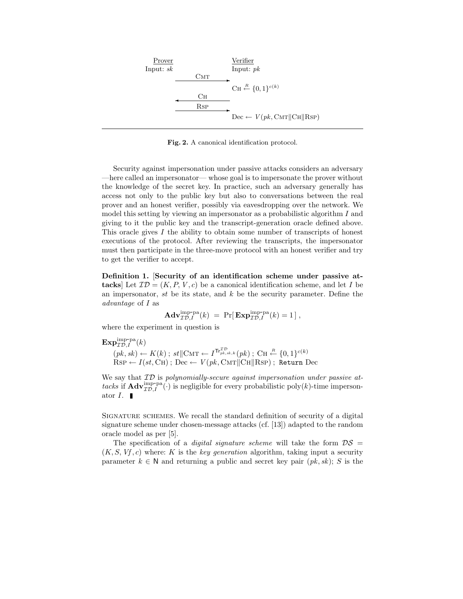

Fig. 2. A canonical identification protocol.

Security against impersonation under passive attacks considers an adversary —here called an impersonator— whose goal is to impersonate the prover without the knowledge of the secret key. In practice, such an adversary generally has access not only to the public key but also to conversations between the real prover and an honest verifier, possibly via eavesdropping over the network. We model this setting by viewing an impersonator as a probabilistic algorithm I and giving to it the public key and the transcript-generation oracle defined above. This oracle gives  $I$  the ability to obtain some number of transcripts of honest executions of the protocol. After reviewing the transcripts, the impersonator must then participate in the three-move protocol with an honest verifier and try to get the verifier to accept.

Definition 1. [Security of an identification scheme under passive attacks] Let  $\mathcal{ID} = (K, P, V, c)$  be a canonical identification scheme, and let I be an impersonator,  $st$  be its state, and  $k$  be the security parameter. Define the advantage of I as

$$
\mathbf{Adv}_{\mathcal{ID},I}^{\text{imp-pa}}(k) = \Pr[\mathbf{Exp}_{\mathcal{ID},I}^{\text{imp-pa}}(k) = 1],
$$

where the experiment in question is

 $\mathbf{Exp}_{\mathcal{ID},I}^{\text{imp-pa}}(k)$  $(pk, sk) \leftarrow K(k)$ ;  $st\|\text{CMT} \leftarrow I^{T_{pk, sk,k}^{T\mathcal{D}}}(pk)$ ;  $\text{CH} \stackrel{R}{\leftarrow} \{0, 1\}^{c(k)}$  $\text{RSP} \leftarrow I(st, \text{CH})$ ; Dec  $\leftarrow V(pk, \text{CMT}||\text{CH}||\text{RSP})$ ; Return Dec

We say that  $ID$  is polynomially-secure against impersonation under passive attacks if  $\mathbf{Adv}_{TD,I}^{\text{imp-pa}}(\cdot)$  is negligible for every probabilistic poly(k)-time impersonator  $I.$ 

SIGNATURE SCHEMES. We recall the standard definition of security of a digital signature scheme under chosen-message attacks (cf. [13]) adapted to the random oracle model as per [5].

The specification of a *digital signature scheme* will take the form  $DS =$  $(K, S, Vf, c)$  where: K is the key generation algorithm, taking input a security parameter  $k \in \mathbb{N}$  and returning a public and secret key pair  $(pk, sk)$ ; S is the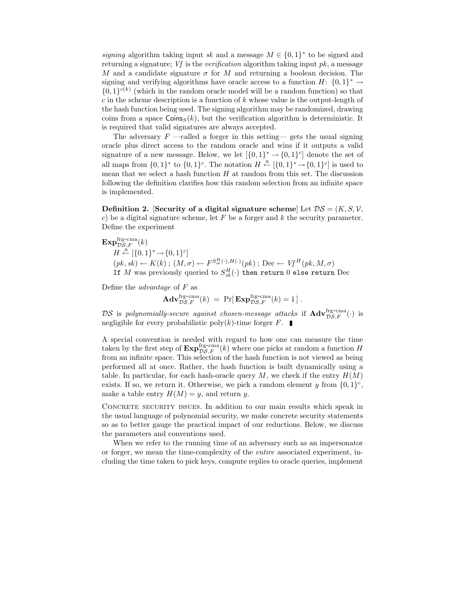signing algorithm taking input sk and a message  $M \in \{0,1\}^*$  to be signed and returning a signature; Vf is the verification algorithm taking input  $pk$ , a message M and a candidate signature  $\sigma$  for M and returning a boolean decision. The signing and verifying algorithms have oracle access to a function  $H: \{0,1\}^* \to$  ${0,1}^{c(k)}$  (which in the random oracle model will be a random function) so that  $c$  in the scheme description is a function of  $k$  whose value is the output-length of the hash function being used. The signing algorithm may be randomized, drawing coins from a space  $\text{Coins}_S(k)$ , but the verification algorithm is deterministic. It is required that valid signatures are always accepted.

The adversary  $F$  —called a forger in this setting— gets the usual signing oracle plus direct access to the random oracle and wins if it outputs a valid signature of a new message. Below, we let  $\left[\{0,1\}^* \to \{0,1\}^c\right]$  denote the set of all maps from  $\{0,1\}^*$  to  $\{0,1\}^c$ . The notation  $H \stackrel{R}{\leftarrow} [\{0,1\}^* \rightarrow \{0,1\}^c]$  is used to mean that we select a hash function  $H$  at random from this set. The discussion following the definition clarifies how this random selection from an infinite space is implemented.

Definition 2. [Security of a digital signature scheme] Let  $DS = (K, S, V, S)$ c) be a digital signature scheme, let  $F$  be a forger and  $k$  the security parameter. Define the experiment

$$
\begin{array}{l}\n\textbf{Exp}_{\mathcal{DS},F}^{\text{frg-cma}}(k) \\
H \stackrel{R}{\leftarrow} [\{0,1\}^* \rightarrow \{0,1\}^c] \\
(pk, sk) \leftarrow K(k) \,;\ (M, \sigma) \leftarrow F^{S_{sk}^H(\cdot), H(\cdot)}(pk) \,;\ \text{Dec} \leftarrow Vf^H(pk, M, \sigma) \\
\text{If } M \text{ was previously queried to } S_{sk}^H(\cdot) \text{ then return 0 else return Dec}\n\end{array}
$$

Define the advantage of F as

$$
\mathbf{Adv}_{\mathcal{DS},F}^{\text{frg-cma}}(k) = \Pr[\mathbf{Exp}_{\mathcal{DS},F}^{\text{frg-cma}}(k) = 1].
$$

 $DS$  is polynomially-secure against chosen-message attacks if  $\text{Adv}_{DS,F}^{\text{frg-cma}}(\cdot)$  is negligible for every probabilistic poly $(k)$ -time forger F.

A special convention is needed with regard to how one can measure the time taken by the first step of  $\exp_{DS,F}^{\text{frg-cma}}(k)$  where one picks at random a function H from an infinite space. This selection of the hash function is not viewed as being performed all at once. Rather, the hash function is built dynamically using a table. In particular, for each hash-oracle query M, we check if the entry  $H(M)$ exists. If so, we return it. Otherwise, we pick a random element y from  $\{0,1\}^c$ , make a table entry  $H(M) = y$ , and return y.

CONCRETE SECURITY ISSUES. In addition to our main results which speak in the usual language of polynomial security, we make concrete security statements so as to better gauge the practical impact of our reductions. Below, we discuss the parameters and conventions used.

When we refer to the running time of an adversary such as an impersonator or forger, we mean the time-complexity of the entire associated experiment, including the time taken to pick keys, compute replies to oracle queries, implement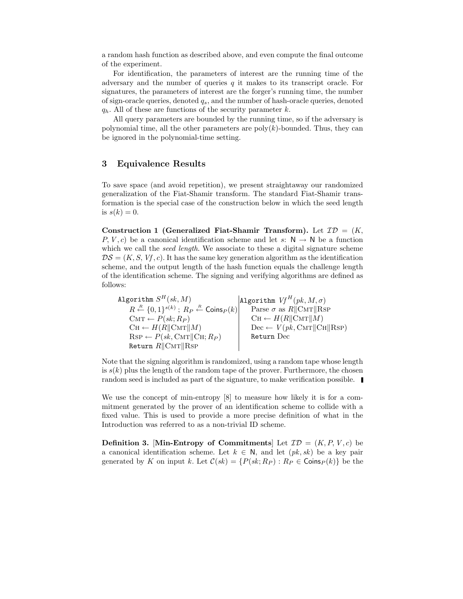a random hash function as described above, and even compute the final outcome of the experiment.

For identification, the parameters of interest are the running time of the adversary and the number of queries  $q$  it makes to its transcript oracle. For signatures, the parameters of interest are the forger's running time, the number of sign-oracle queries, denoted  $q_s$ , and the number of hash-oracle queries, denoted  $q_h$ . All of these are functions of the security parameter k.

All query parameters are bounded by the running time, so if the adversary is polynomial time, all the other parameters are  $poly(k)$ -bounded. Thus, they can be ignored in the polynomial-time setting.

# 3 Equivalence Results

To save space (and avoid repetition), we present straightaway our randomized generalization of the Fiat-Shamir transform. The standard Fiat-Shamir transformation is the special case of the construction below in which the seed length is  $s(k) = 0$ .

Construction 1 (Generalized Fiat-Shamir Transform). Let  $\mathcal{ID} = (K,$ P, V, c) be a canonical identification scheme and let s:  $N \rightarrow N$  be a function which we call the *seed length*. We associate to these a digital signature scheme  $DS = (K, S, Vf, c)$ . It has the same key generation algorithm as the identification scheme, and the output length of the hash function equals the challenge length of the identification scheme. The signing and verifying algorithms are defined as follows:

| Algorithm $S^H(sk, M)$                                                                     | Algorithm $Vf^H(pk, M, \sigma)$                               |
|--------------------------------------------------------------------------------------------|---------------------------------------------------------------|
| $R \stackrel{R}{\leftarrow} \{0,1\}^{s(k)}$ ; $R_P \stackrel{R}{\leftarrow}$ Coins $_P(k)$ | Parse $\sigma$ as $R  CMT  RSP$                               |
| $\text{CMT} \leftarrow P(\textit{sk}; R_P)$                                                | $\mathrm{CH} \leftarrow H(R \ \mathrm{CMT}\ M)$               |
| $\mathrm{CH} \leftarrow H(R \ \mathrm{CMT}\ M)$                                            | $Dec \leftarrow V(pk, \text{CMT}    \text{CH}    \text{RSP})$ |
| $\text{RSP} \leftarrow P(sk, \text{CMT}    \text{CH}; R_P)$                                | Return Dec                                                    |
| Return $R  CMT  RSP$                                                                       |                                                               |

Note that the signing algorithm is randomized, using a random tape whose length is  $s(k)$  plus the length of the random tape of the prover. Furthermore, the chosen random seed is included as part of the signature, to make verification possible.

We use the concept of min-entropy [8] to measure how likely it is for a commitment generated by the prover of an identification scheme to collide with a fixed value. This is used to provide a more precise definition of what in the Introduction was referred to as a non-trivial ID scheme.

**Definition 3.** [Min-Entropy of Commitments] Let  $\mathcal{ID} = (K, P, V, c)$  be a canonical identification scheme. Let  $k \in \mathbb{N}$ , and let  $(pk, sk)$  be a key pair generated by K on input k. Let  $\mathcal{C}(sk) = \{P(sk; R_P) : R_P \in \text{Coins}_P(k)\}\$  be the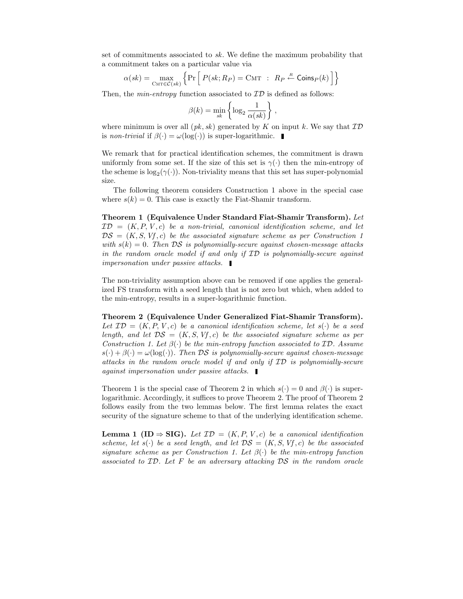set of commitments associated to sk. We define the maximum probability that a commitment takes on a particular value via

$$
\alpha(sk) = \max_{\text{CMT} \in \mathcal{C}(sk)} \left\{ \Pr \left[ P(sk; R_P) = \text{CMT} \ : \ R_P \stackrel{R}{\leftarrow} \text{Coins}_P(k) \right] \right\}
$$

Then, the *min-entropy* function associated to  $ID$  is defined as follows:

$$
\beta(k) = \min_{sk} \left\{ \log_2 \frac{1}{\alpha(sk)} \right\},\,
$$

where minimum is over all  $(pk, sk)$  generated by K on input k. We say that  $ID$ is non-trivial if  $\beta(\cdot) = \omega(\log(\cdot))$  is super-logarithmic.

We remark that for practical identification schemes, the commitment is drawn uniformly from some set. If the size of this set is  $\gamma(\cdot)$  then the min-entropy of the scheme is  $\log_2(\gamma(\cdot))$ . Non-triviality means that this set has super-polynomial size.

The following theorem considers Construction 1 above in the special case where  $s(k) = 0$ . This case is exactly the Fiat-Shamir transform.

Theorem 1 (Equivalence Under Standard Fiat-Shamir Transform). Let  $ID = (K, P, V, c)$  be a non-trivial, canonical identification scheme, and let  $DS = (K, S, Vf, c)$  be the associated signature scheme as per Construction 1 with  $s(k) = 0$ . Then  $DS$  is polynomially-secure against chosen-message attacks in the random oracle model if and only if ID is polynomially-secure against impersonation under passive attacks.

The non-triviality assumption above can be removed if one applies the generalized FS transform with a seed length that is not zero but which, when added to the min-entropy, results in a super-logarithmic function.

Theorem 2 (Equivalence Under Generalized Fiat-Shamir Transform). Let  $\mathcal{ID} = (K, P, V, c)$  be a canonical identification scheme, let  $s(\cdot)$  be a seed length, and let  $\mathcal{DS} = (K, S, Vf, c)$  be the associated signature scheme as per Construction 1. Let  $\beta(\cdot)$  be the min-entropy function associated to ID. Assume  $s(\cdot) + \beta(\cdot) = \omega(\log(\cdot))$ . Then **DS** is polynomially-secure against chosen-message attacks in the random oracle model if and only if ID is polynomially-secure against impersonation under passive attacks.

Theorem 1 is the special case of Theorem 2 in which  $s(\cdot) = 0$  and  $\beta(\cdot)$  is superlogarithmic. Accordingly, it suffices to prove Theorem 2. The proof of Theorem 2 follows easily from the two lemmas below. The first lemma relates the exact security of the signature scheme to that of the underlying identification scheme.

**Lemma 1 (ID**  $\Rightarrow$  SIG). Let  $\mathcal{ID} = (K, P, V, c)$  be a canonical identification scheme, let s(.) be a seed length, and let  $DS = (K, S, Vf, c)$  be the associated signature scheme as per Construction 1. Let  $\beta(\cdot)$  be the min-entropy function associated to  $\mathcal{ID}$ . Let F be an adversary attacking  $\mathcal{DS}$  in the random oracle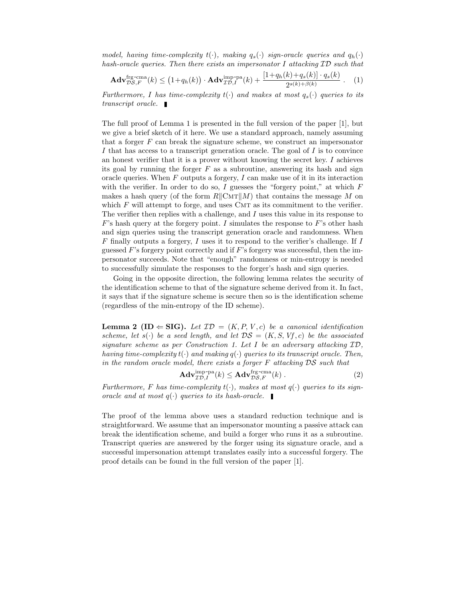model, having time-complexity  $t(\cdot)$ , making  $q_s(\cdot)$  sign-oracle queries and  $q_h(\cdot)$ hash-oracle queries. Then there exists an impersonator I attacking ID such that

$$
\mathbf{Adv}_{\mathcal{DS},F}^{\text{frg-cma}}(k) \leq \left(1 + q_h(k)\right) \cdot \mathbf{Adv}_{\mathcal{ID},I}^{\text{imp-pa}}(k) + \frac{\left[1 + q_h(k) + q_s(k)\right] \cdot q_s(k)}{2^{s(k) + \beta(k)}} \ . \tag{1}
$$

Furthermore, I has time-complexity  $t(\cdot)$  and makes at most  $q_s(\cdot)$  queries to its transcript oracle.

The full proof of Lemma 1 is presented in the full version of the paper [1], but we give a brief sketch of it here. We use a standard approach, namely assuming that a forger  $F$  can break the signature scheme, we construct an impersonator I that has access to a transcript generation oracle. The goal of I is to convince an honest verifier that it is a prover without knowing the secret key. I achieves its goal by running the forger  $F$  as a subroutine, answering its hash and sign oracle queries. When  $F$  outputs a forgery,  $I$  can make use of it in its interaction with the verifier. In order to do so,  $I$  guesses the "forgery point," at which  $F$ makes a hash query (of the form  $R||CMT||M$ ) that contains the message M on which  $F$  will attempt to forge, and uses CMT as its commitment to the verifier. The verifier then replies with a challenge, and  $I$  uses this value in its response to  $F$ 's hash query at the forgery point. I simulates the response to  $F$ 's other hash and sign queries using the transcript generation oracle and randomness. When  $F$  finally outputs a forgery,  $I$  uses it to respond to the verifier's challenge. If  $I$ guessed  $F$ 's forgery point correctly and if  $F$ 's forgery was successful, then the impersonator succeeds. Note that "enough" randomness or min-entropy is needed to successfully simulate the responses to the forger's hash and sign queries.

Going in the opposite direction, the following lemma relates the security of the identification scheme to that of the signature scheme derived from it. In fact, it says that if the signature scheme is secure then so is the identification scheme (regardless of the min-entropy of the ID scheme).

**Lemma 2 (ID**  $\Leftarrow$  **SIG).** Let  $\mathcal{ID} = (K, P, V, c)$  be a canonical identification scheme, let  $s(\cdot)$  be a seed length, and let  $\mathcal{DS} = (K, S, Vf, c)$  be the associated signature scheme as per Construction 1. Let I be an adversary attacking ID, having time-complexity  $t(\cdot)$  and making  $q(\cdot)$  queries to its transcript oracle. Then, in the random oracle model, there exists a forger  $F$  attacking  $DS$  such that

$$
\mathbf{Adv}_{\mathcal{ID},I}^{\text{imp-pa}}(k) \leq \mathbf{Adv}_{\mathcal{DS},F}^{\text{frg-cma}}(k) . \tag{2}
$$

Furthermore, F has time-complexity  $t(\cdot)$ , makes at most  $q(\cdot)$  queries to its signoracle and at most  $q(\cdot)$  queries to its hash-oracle.

The proof of the lemma above uses a standard reduction technique and is straightforward. We assume that an impersonator mounting a passive attack can break the identification scheme, and build a forger who runs it as a subroutine. Transcript queries are answered by the forger using its signature oracle, and a successful impersonation attempt translates easily into a successful forgery. The proof details can be found in the full version of the paper [1].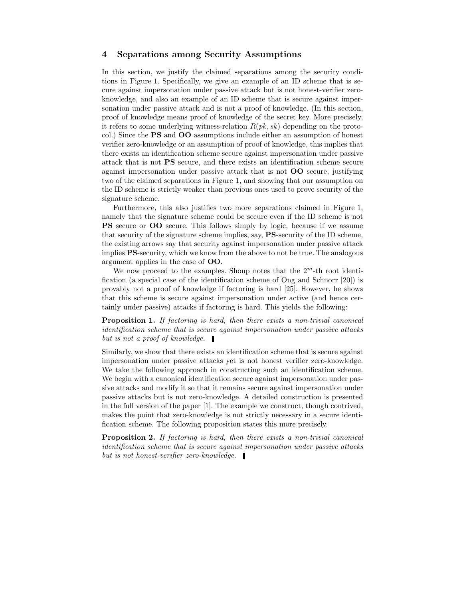# 4 Separations among Security Assumptions

In this section, we justify the claimed separations among the security conditions in Figure 1. Specifically, we give an example of an ID scheme that is secure against impersonation under passive attack but is not honest-verifier zeroknowledge, and also an example of an ID scheme that is secure against impersonation under passive attack and is not a proof of knowledge. (In this section, proof of knowledge means proof of knowledge of the secret key. More precisely, it refers to some underlying witness-relation  $R(pk, sk)$  depending on the protocol.) Since the PS and OO assumptions include either an assumption of honest verifier zero-knowledge or an assumption of proof of knowledge, this implies that there exists an identification scheme secure against impersonation under passive attack that is not PS secure, and there exists an identification scheme secure against impersonation under passive attack that is not OO secure, justifying two of the claimed separations in Figure 1, and showing that our assumption on the ID scheme is strictly weaker than previous ones used to prove security of the signature scheme.

Furthermore, this also justifies two more separations claimed in Figure 1, namely that the signature scheme could be secure even if the ID scheme is not PS secure or OO secure. This follows simply by logic, because if we assume that security of the signature scheme implies, say, PS-security of the ID scheme, the existing arrows say that security against impersonation under passive attack implies PS-security, which we know from the above to not be true. The analogous argument applies in the case of OO.

We now proceed to the examples. Shoup notes that the  $2^m$ -th root identification (a special case of the identification scheme of Ong and Schnorr [20]) is provably not a proof of knowledge if factoring is hard [25]. However, he shows that this scheme is secure against impersonation under active (and hence certainly under passive) attacks if factoring is hard. This yields the following:

Proposition 1. If factoring is hard, then there exists a non-trivial canonical identification scheme that is secure against impersonation under passive attacks but is not a proof of knowledge.  $\blacksquare$ 

Similarly, we show that there exists an identification scheme that is secure against impersonation under passive attacks yet is not honest verifier zero-knowledge. We take the following approach in constructing such an identification scheme. We begin with a canonical identification secure against impersonation under passive attacks and modify it so that it remains secure against impersonation under passive attacks but is not zero-knowledge. A detailed construction is presented in the full version of the paper [1]. The example we construct, though contrived, makes the point that zero-knowledge is not strictly necessary in a secure identification scheme. The following proposition states this more precisely.

Proposition 2. If factoring is hard, then there exists a non-trivial canonical identification scheme that is secure against impersonation under passive attacks but is not honest-verifier zero-knowledge.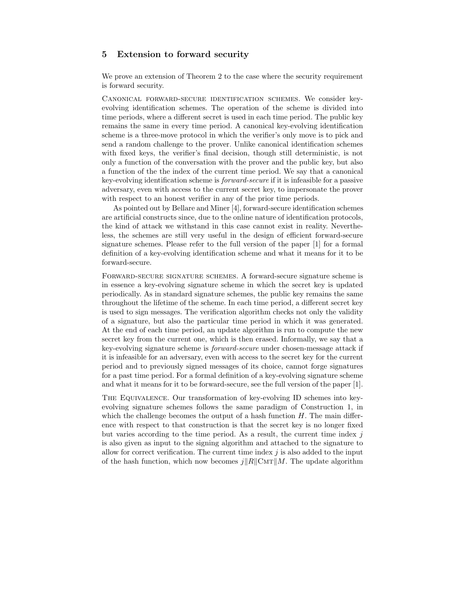# 5 Extension to forward security

We prove an extension of Theorem 2 to the case where the security requirement is forward security.

Canonical forward-secure identification schemes. We consider keyevolving identification schemes. The operation of the scheme is divided into time periods, where a different secret is used in each time period. The public key remains the same in every time period. A canonical key-evolving identification scheme is a three-move protocol in which the verifier's only move is to pick and send a random challenge to the prover. Unlike canonical identification schemes with fixed keys, the verifier's final decision, though still deterministic, is not only a function of the conversation with the prover and the public key, but also a function of the the index of the current time period. We say that a canonical key-evolving identification scheme is forward-secure if it is infeasible for a passive adversary, even with access to the current secret key, to impersonate the prover with respect to an honest verifier in any of the prior time periods.

As pointed out by Bellare and Miner [4], forward-secure identification schemes are artificial constructs since, due to the online nature of identification protocols, the kind of attack we withstand in this case cannot exist in reality. Nevertheless, the schemes are still very useful in the design of efficient forward-secure signature schemes. Please refer to the full version of the paper [1] for a formal definition of a key-evolving identification scheme and what it means for it to be forward-secure.

Forward-secure signature schemes. A forward-secure signature scheme is in essence a key-evolving signature scheme in which the secret key is updated periodically. As in standard signature schemes, the public key remains the same throughout the lifetime of the scheme. In each time period, a different secret key is used to sign messages. The verification algorithm checks not only the validity of a signature, but also the particular time period in which it was generated. At the end of each time period, an update algorithm is run to compute the new secret key from the current one, which is then erased. Informally, we say that a key-evolving signature scheme is forward-secure under chosen-message attack if it is infeasible for an adversary, even with access to the secret key for the current period and to previously signed messages of its choice, cannot forge signatures for a past time period. For a formal definition of a key-evolving signature scheme and what it means for it to be forward-secure, see the full version of the paper [1].

The Equivalence. Our transformation of key-evolving ID schemes into keyevolving signature schemes follows the same paradigm of Construction 1, in which the challenge becomes the output of a hash function  $H$ . The main difference with respect to that construction is that the secret key is no longer fixed but varies according to the time period. As a result, the current time index  $j$ is also given as input to the signing algorithm and attached to the signature to allow for correct verification. The current time index  $j$  is also added to the input of the hash function, which now becomes  $j||R||CMT||M$ . The update algorithm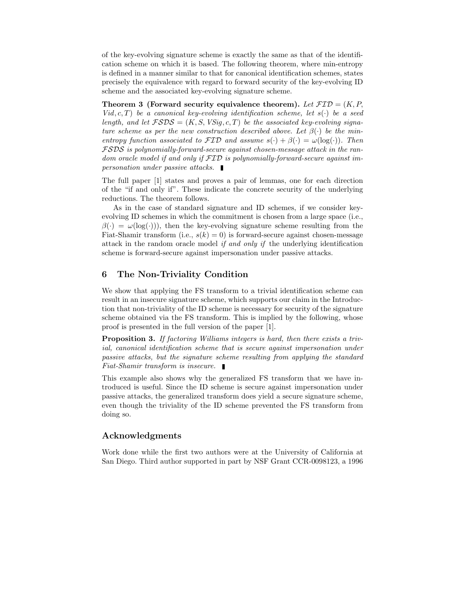of the key-evolving signature scheme is exactly the same as that of the identification scheme on which it is based. The following theorem, where min-entropy is defined in a manner similar to that for canonical identification schemes, states precisely the equivalence with regard to forward security of the key-evolving ID scheme and the associated key-evolving signature scheme.

Theorem 3 (Forward security equivalence theorem). Let  $\mathcal{FID} = (K, P, \mathcal{F})$  $Vid, c, T$ ) be a canonical key-evolving identification scheme, let  $s(\cdot)$  be a seed length, and let  $\mathcal{FSDS} = (K, S, VSig, c, T)$  be the associated key-evolving signature scheme as per the new construction described above. Let  $\beta(\cdot)$  be the minentropy function associated to  $\mathcal{FID}$  and assume  $s(\cdot) + \beta(\cdot) = \omega(\log(\cdot))$ . Then FSDS is polynomially-forward-secure against chosen-message attack in the random oracle model if and only if  $FTD$  is polynomially-forward-secure against impersonation under passive attacks.

The full paper [1] states and proves a pair of lemmas, one for each direction of the "if and only if". These indicate the concrete security of the underlying reductions. The theorem follows.

As in the case of standard signature and ID schemes, if we consider keyevolving ID schemes in which the commitment is chosen from a large space (i.e.,  $\beta(\cdot) = \omega(\log(\cdot))$ , then the key-evolving signature scheme resulting from the Fiat-Shamir transform (i.e.,  $s(k) = 0$ ) is forward-secure against chosen-message attack in the random oracle model if and only if the underlying identification scheme is forward-secure against impersonation under passive attacks.

# 6 The Non-Triviality Condition

We show that applying the FS transform to a trivial identification scheme can result in an insecure signature scheme, which supports our claim in the Introduction that non-triviality of the ID scheme is necessary for security of the signature scheme obtained via the FS transform. This is implied by the following, whose proof is presented in the full version of the paper [1].

Proposition 3. If factoring Williams integers is hard, then there exists a trivial, canonical identification scheme that is secure against impersonation under passive attacks, but the signature scheme resulting from applying the standard Fiat-Shamir transform is insecure.

This example also shows why the generalized FS transform that we have introduced is useful. Since the ID scheme is secure against impersonation under passive attacks, the generalized transform does yield a secure signature scheme, even though the triviality of the ID scheme prevented the FS transform from doing so.

# Acknowledgments

Work done while the first two authors were at the University of California at San Diego. Third author supported in part by NSF Grant CCR-0098123, a 1996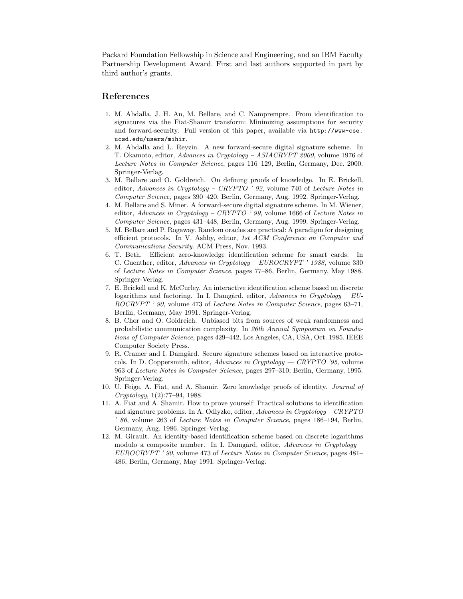Packard Foundation Fellowship in Science and Engineering, and an IBM Faculty Partnership Development Award. First and last authors supported in part by third author's grants.

# References

- 1. M. Abdalla, J. H. An, M. Bellare, and C. Namprempre. From identification to signatures via the Fiat-Shamir transform: Minimizing assumptions for security and forward-security. Full version of this paper, available via http://www-cse. ucsd.edu/users/mihir.
- 2. M. Abdalla and L. Reyzin. A new forward-secure digital signature scheme. In T. Okamoto, editor, Advances in Cryptology – ASIACRYPT 2000, volume 1976 of Lecture Notes in Computer Science, pages 116–129, Berlin, Germany, Dec. 2000. Springer-Verlag.
- 3. M. Bellare and O. Goldreich. On defining proofs of knowledge. In E. Brickell, editor, Advances in Cryptology – CRYPTO ' 92, volume 740 of Lecture Notes in Computer Science, pages 390–420, Berlin, Germany, Aug. 1992. Springer-Verlag.
- 4. M. Bellare and S. Miner. A forward-secure digital signature scheme. In M. Wiener, editor, Advances in Cryptology – CRYPTO ' 99, volume 1666 of Lecture Notes in Computer Science, pages 431–448, Berlin, Germany, Aug. 1999. Springer-Verlag.
- 5. M. Bellare and P. Rogaway. Random oracles are practical: A paradigm for designing efficient protocols. In V. Ashby, editor, 1st ACM Conference on Computer and Communications Security. ACM Press, Nov. 1993.
- 6. T. Beth. Efficient zero-knowledge identification scheme for smart cards. In C. Guenther, editor, Advances in Cryptology – EUROCRYPT ' 1988, volume 330 of Lecture Notes in Computer Science, pages 77–86, Berlin, Germany, May 1988. Springer-Verlag.
- 7. E. Brickell and K. McCurley. An interactive identification scheme based on discrete logarithms and factoring. In I. Damgård, editor,  $Advances$  in Cryptology – EU-ROCRYPT ' 90, volume 473 of Lecture Notes in Computer Science, pages 63–71, Berlin, Germany, May 1991. Springer-Verlag.
- 8. B. Chor and O. Goldreich. Unbiased bits from sources of weak randomness and probabilistic communication complexity. In 26th Annual Symposium on Foundations of Computer Science, pages 429–442, Los Angeles, CA, USA, Oct. 1985. IEEE Computer Society Press.
- 9. R. Cramer and I. Damgård. Secure signature schemes based on interactive protocols. In D. Coppersmith, editor, Advances in Cryptology — CRYPTO '95, volume 963 of Lecture Notes in Computer Science, pages 297–310, Berlin, Germany, 1995. Springer-Verlag.
- 10. U. Feige, A. Fiat, and A. Shamir. Zero knowledge proofs of identity. Journal of Cryptology, 1(2):77–94, 1988.
- 11. A. Fiat and A. Shamir. How to prove yourself: Practical solutions to identification and signature problems. In A. Odlyzko, editor, Advances in Cryptology – CRYPTO ' 86, volume 263 of Lecture Notes in Computer Science, pages 186–194, Berlin, Germany, Aug. 1986. Springer-Verlag.
- 12. M. Girault. An identity-based identification scheme based on discrete logarithms modulo a composite number. In I. Damgård, editor,  $Advances$  in Cryptology – EUROCRYPT ' 90, volume 473 of Lecture Notes in Computer Science, pages 481– 486, Berlin, Germany, May 1991. Springer-Verlag.